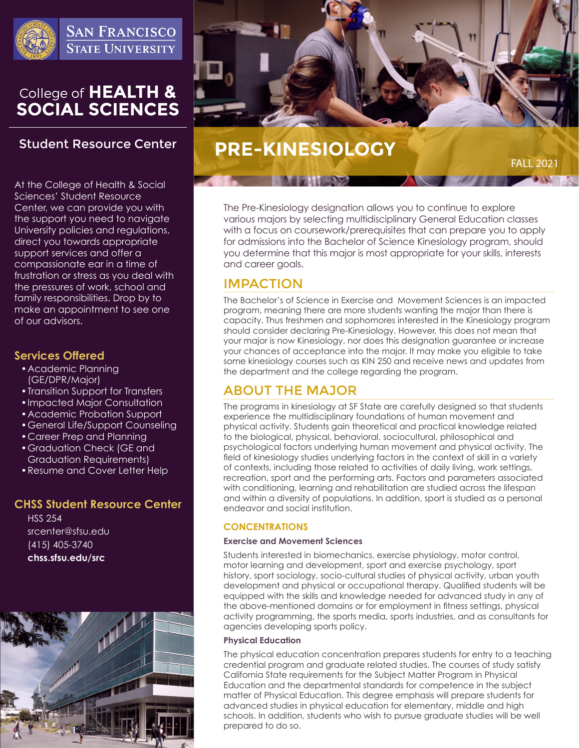

**SAN FRANCISCO STATE UNIVERSITY** 

# College of HEALTH &<br>SOCIAL SCIENCES

# **Student Resource Center**

At the College of Health & Social Sciences' Student Resource Center, we can provide you with the support you need to navigate University policies and regulations, direct you towards appropriate support services and offer a compassionate ear in a time of frustration or stress as you deal with the pressures of work, school and family responsibilities. Drop by to make an appointment to see one of our advisors.

#### **Services Offered**

- •Academic Planning (GE/DPR/Major)
- •Transition Support for Transfers
- •Impacted Major Consultation
- •Academic Probation Support
- •General Life/Support Counseling
- •Career Prep and Planning
- •Graduation Check (GE and Graduation Requirements)
- •Resume and Cover Letter Help

#### **CHSS Student Resource Center**

HSS 254 srcenter@sfsu.edu (415) 405-3740 **chss.sfsu.edu/src**





# **PRE-KINESIOLOGY**

 $FAIL 202$ 

The Pre-Kinesiology designation allows you to continue to explore various majors by selecting multidisciplinary General Education classes with a focus on coursework/prerequisites that can prepare you to apply for admissions into the Bachelor of Science Kinesiology program, should you determine that this major is most appropriate for your skills, interests and career goals.

# IMPACTION

The Bachelor's of Science in Exercise and Movement Sciences is an impacted program, meaning there are more students wanting the major than there is capacity. Thus freshmen and sophomores interested in the Kinesiology program should consider declaring Pre-Kinesiology. However, this does not mean that your major is now Kinesiology, nor does this designation guarantee or increase your chances of acceptance into the major. It may make you eligible to take some kinesiology courses such as KIN 250 and receive news and updates from the department and the college regarding the program.

# ABOUT THE MAJOR

The programs in kinesiology at SF State are carefully designed so that students experience the multidisciplinary foundations of human movement and physical activity. Students gain theoretical and practical knowledge related to the biological, physical, behavioral, sociocultural, philosophical and psychological factors underlying human movement and physical activity. The field of kinesiology studies underlying factors in the context of skill in a variety of contexts, including those related to activities of daily living, work settings, recreation, sport and the performing arts. Factors and parameters associated with conditioning, learning and rehabilitation are studied across the lifespan and within a diversity of populations. In addition, sport is studied as a personal endeavor and social institution.

#### **CONCENTRATIONS**

#### **Exercise and Movement Sciences**

Students interested in biomechanics, exercise physiology, motor control, motor learning and development, sport and exercise psychology, sport history, sport sociology, socio-cultural studies of physical activity, urban youth development and physical or occupational therapy. Qualified students will be equipped with the skills and knowledge needed for advanced study in any of the above-mentioned domains or for employment in fitness settings, physical activity programming, the sports media, sports industries, and as consultants for agencies developing sports policy.

#### **Physical Education**

The physical education concentration prepares students for entry to a teaching credential program and graduate related studies. The courses of study satisfy California State requirements for the Subject Matter Program in Physical Education and the departmental standards for competence in the subject matter of Physical Education. This degree emphasis will prepare students for advanced studies in physical education for elementary, middle and high schools. In addition, students who wish to pursue graduate studies will be well prepared to do so.